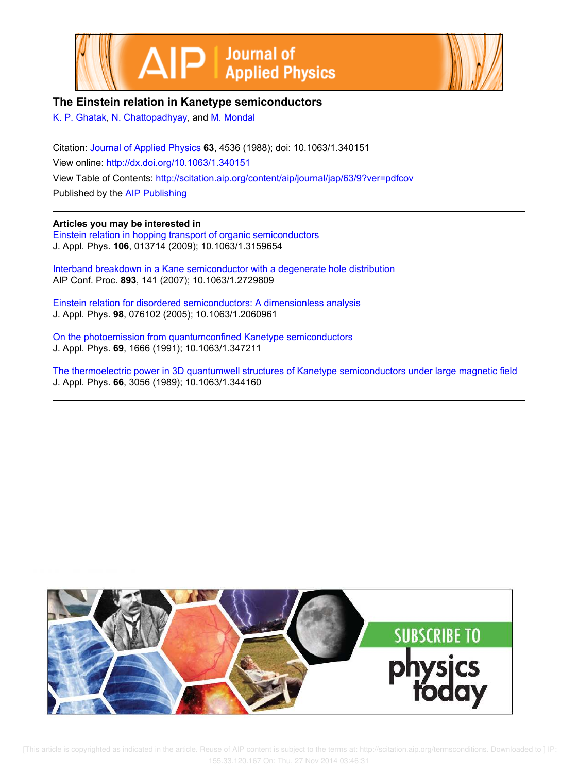



# **The Einstein relation in Kanetype semiconductors**

K. P. Ghatak, N. Chattopadhyay, and M. Mondal

Citation: Journal of Applied Physics **63**, 4536 (1988); doi: 10.1063/1.340151 View online: http://dx.doi.org/10.1063/1.340151 View Table of Contents: http://scitation.aip.org/content/aip/journal/jap/63/9?ver=pdfcov Published by the AIP Publishing

## **Articles you may be interested in**

Einstein relation in hopping transport of organic semiconductors J. Appl. Phys. **106**, 013714 (2009); 10.1063/1.3159654

Interband breakdown in a Kane semiconductor with a degenerate hole distribution AIP Conf. Proc. **893**, 141 (2007); 10.1063/1.2729809

Einstein relation for disordered semiconductors: A dimensionless analysis J. Appl. Phys. **98**, 076102 (2005); 10.1063/1.2060961

On the photoemission from quantumconfined Kanetype semiconductors J. Appl. Phys. **69**, 1666 (1991); 10.1063/1.347211

The thermoelectric power in 3D quantumwell structures of Kanetype semiconductors under large magnetic field J. Appl. Phys. **66**, 3056 (1989); 10.1063/1.344160



[This article is copyrighted as indicated in the article. Reuse of AIP content is subject to the terms at: http://scitation.aip.org/termsconditions. Downloaded to ] IP: 155.33.120.167 On: Thu, 27 Nov 2014 03:46:31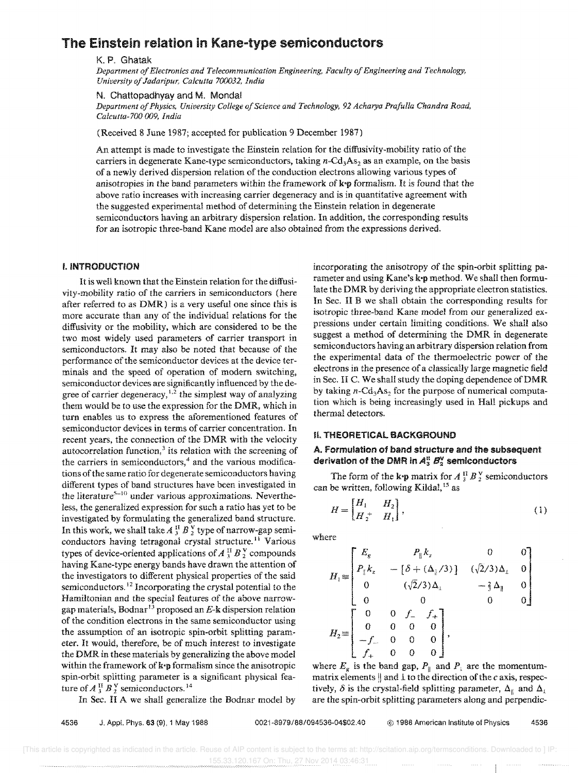# The Einstein relation in Kane&type semiconductors

#### K. P. Ghatak

Department of Electronics and Telecommunication Engineering, Faculty of Engineering and Technology, *University of Jadaripur, Calcutta 700032, India* 

#### N. Chattopadhyay and M. Monda!

*Department of Physics, University College of Science and Technology,* 92 *Acharya Prafulla Chandra Road, Calcutta-7OG 009, India* 

(Received 8 June 1987; accepted for publication 9 December 1987)

An attempt is made to investigate the Einstein relation for the diffusivity-mobility ratio of the carriers in degenerate Kane-type semiconductors, taking  $n\text{-}Cd_3As_2$  as an example, on the basis of a newly derived dispersion relation of the conduction electrons allowing various types of anisotropies in the band parameters within the framework of  $\mathbf{k} \cdot \mathbf{p}$  formalism. It is found that the above ratio increases with increasing carrier degeneracy and is in quantitative agreement with the suggested experimental method of determining the Einstein relation in degenerate semiconductors having an arbitrary dispersion relation. In addition, the corresponding results for an isotropic three-band Kane model are also obtained from the expressions derived.

### I. iNTRODUCTION

It is well known that the Einstein relation for the diffusivity-mobility ratio of the carriers in semiconductors (here after referred to as DMR) is a very useful one since this is more accurate than any of the individual relations for the diffusivity or the mobility, which are considered to be the two most widely used parameters of carrier transport in semiconductors. It may also be noted that because of the performance of the semiconductor devices at the device terminals and the speed of operation of modem switching, semiconductor devices are significantly influenced by the degree of carrier degeneracy,<sup>1,2</sup> the simplest way of analyzing them would be to use the expression for the DMR, which in turn enables us to express the aforementioned features of semiconductor devices in terms of carrier concentration. In recent years, the connection of the DMR with the velocity autocorrelation function, $3$  its relation with the screening of the carriers in semiconductors,<sup>4</sup> and the various modifications of the same ratio for degenerate semiconductors having different types of band structures have been investigated in the literature<sup>5-10</sup> under various approximations. Nevertheless, the generalized expression for such a ratio has yet to be investigated by formulating the generalized band structure. In this work, we shall take  $A_3^H B_2^V$  type of narrow-gap semiconductors having tetragonal crystal structure.<sup>11</sup> Various types of device-oriented applications of  $A_3^H B_2^V$  compounds having Kane-type energy bands have drawn the attention of the investigators to different physical properties of the said semiconductors.<sup>12</sup> Incorporating the crystal potential to the Hamiltonian and the special features of the above narrowgap materials, Bodnar<sup>13</sup> proposed an  $E$ -k dispersion relation of the condition electrons in the same semiconductor using the assumption of an isotropic spin-orbit splitting parameter. It would, therefore, be of much interest to investigate the DMR in these materials by generalizing the above model within the framework of  $\mathbf{k} \cdot \mathbf{p}$  formalism since the anisotropic spin-orbit splitting parameter is a significant physical feature of  $A_3^H B_2^V$  semiconductors.<sup>14</sup>

In Sec. II A we shall generalize the Bodnar model by

4536 J. Appl. Phys. 63 (9). 1 May 1988 0021 -8979/88/094536-04\$02.40 @ 1988 American Institute of Physics 4536

incorporating the anisotropy of the spin-orbit splitting parameter and using Kane's k•p method. We shall then formulate the DMR by deriving the appropriate electron statistics. In Sec. II B we shall obtain the corresponding results for isotropic three-band Kane model from our generalized expressions under certain limiting conditions. We shall also suggest a method of determining the DMR in degenerate semiconductors having an arbitrary dispersion relation from the experimental data of the thermoelectric power of the electrons in the presence of a classically large magnetic field in Sec. II C. We shall study the doping dependence ofDMR by taking  $n\text{-Cd}_3\text{As}_2$  for the purpose of numerical computation which is being increasingly used in Hall pickups and thermal detectors.

### Ii. THEORETICAL BACKGROUND

### A. Formulation of band structure and the subsequent derivation of the DMR in  $A_3^{\prime\prime}$   $B_2^{\prime\prime}$  semiconductors

The form of the k<sub>p</sub> matrix for  $A_3^H B_2^V$  semiconductors can be written, following Kildal,<sup>15</sup> as

$$
H = \begin{bmatrix} H_1 & H_2 \\ H_2^+ & H_1 \end{bmatrix},
$$
 (1)

where

$$
H_{1} = \begin{bmatrix} E_{g} & P_{\parallel}k_{z} & 0 & 0 \\ P_{\parallel}k_{z} & -\left[\delta + (\Delta_{\parallel}/3)\right] & (\sqrt{2}/3)\Delta_{\perp} & 0 \\ 0 & (\sqrt{2}/3)\Delta_{\perp} & -\frac{2}{3}\Delta_{\parallel} & 0 \\ 0 & 0 & 0 & 0 \\ 0 & 0 & 0 & 0 \\ -f_{-} & 0 & 0 & 0 \\ f_{+} & 0 & 0 & 0 \end{bmatrix},
$$

where  $E_g$  is the band gap,  $P_{\parallel}$  and  $P_i$  are the momentummatrix elements || and 1 to the direction of the *c* axis, respectively,  $\delta$  is the crystal-field splitting parameter,  $\Delta_{\parallel}$  and  $\Delta_{\perp}$ are the spin-orbit splitting parameters along and perpendic-

[This article is copyrighted as indicated in the article. Reuse of AIP content is subject to the terms at: http://scitation.aip.org/termsconditions. Downloaded to ] IP: 155.33.120.167 On: Thu, 27 Nov 2014 03:46:31 $\langle \ldots \rangle$  .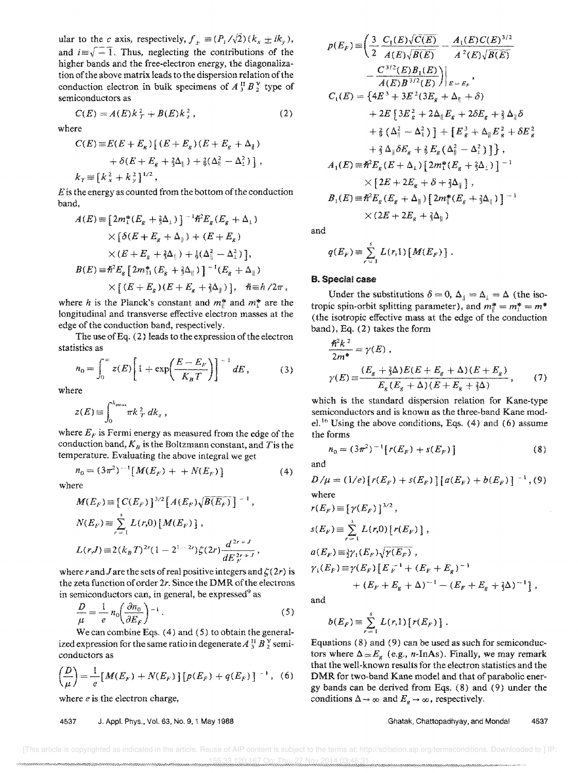ular to the *c* axis, respectively,  $f_{\pm} \equiv (P_1 / \sqrt{2}) (k_x \pm ik_y)$ , and  $i\equiv\sqrt{-1}$ . Thus, neglecting the contributions of the higher bands and the free-electron energy, the diagonalization of the above matrix leads to the dispersion relation of the conduction electron in bulk specimens of  $A_3^H B_2^V$  type of semiconductors as

$$
C(E) = A(E)k_T^2 + B(E)k_z^2, \qquad (2)
$$

where

$$
C(E) \equiv E(E + E_g) [ (E + E_g) (E + E_g + \Delta_{\parallel})
$$
  
+  $\delta(E + E_g + \frac{2}{3}\Delta_{\parallel}) + \frac{2}{9} (\Delta_{\parallel}^2 - \Delta_{\perp}^2) ]$ ,  
 $k_T \equiv [k_x^2 + k_y^2]^{1/2}$ ,

*E* is the energy as counted from the bottom of the conduction band,

$$
A(E) = [2m_1^*(E_g + \frac{2}{3}\Delta_1)]^{-1}\hat{\pi}^2 E_g (E_g + \Delta_1)
$$
  
 
$$
\times [\delta(E + E_g + \Delta_{\parallel}) + (E + E_g)
$$
  
 
$$
\times (E + E_g + \frac{2}{3}\Delta_{\parallel}) + \frac{1}{9}(\Delta_{\parallel}^2 - \Delta_1^2)],
$$
  

$$
B(E) = \hat{\pi}^2 E_g [2m_{11}^*(E_g + \frac{2}{3}\Delta_{\parallel})]^{-1}(E_g + \Delta_{\parallel})
$$
  

$$
\times [(E + E_g)(E + E_g + \frac{2}{3}\Delta_{\parallel})], \quad \hbar = h/2\pi,
$$

where *h* is the Planck's constant and  $m_{\parallel}^*$  and  $m_{\perp}^*$  are the longitudinal and transverse effective electron masses at the edge of the conduction band, respectively.

The use of Eq. (2) leads to the expression of the electron statistics as

$$
n_0 = \int_0^\infty z(E) \left[ 1 + \exp\left(\frac{E - E_F}{K_B T}\right) \right]^{-1} dE, \qquad (3)
$$

where

$$
z(E) \equiv \int_0^{k_{\text{max}}} \pi k \, \frac{2}{T} \, dk_z \ ,
$$

where  $E_F$  is Fermi energy as measured from the edge of the conduction band,  $K_B$  is the Boltzmann constant, and T is the temperature. Evaluating the above integral we get

$$
n_0 = (3\pi^2)^{-1} [M(E_F) + + N(E_F)] \tag{4}
$$

where

$$
M(E_F) \equiv \left[ C(E_F) \right]^{3/2} \left[ A(E_F) \sqrt{B(E_F)} \right]^{-1},
$$
  
\n
$$
N(E_F) \equiv \sum_{r=1}^{s} L(r,0) \left[ M(E_F) \right],
$$
  
\n
$$
L(r,J) \equiv 2(k_B T)^{2r} (1 - 2^{1 - 2r}) \zeta(2r) \frac{d^{2r+J}}{dE_F^{2r+J}},
$$

where r and *J* are the sets of real positive integers and  $\zeta(2r)$  is the zeta function of order *2r.* Since the DMR of the electrons

in semiconductors can, in general, be expressed<sup>9</sup> as  
\n
$$
\frac{D}{\mu} = \frac{1}{e} n_0 \left( \frac{\partial n_0}{\partial E_F} \right)^{-1}.
$$
\n(5)

We can combine Eqs. (4) and (5) to obtain the generalized expression for the same ratio in degenerate  $A_3^H B_2^V$  semiconductors as

$$
\left(\frac{D}{\mu}\right) = \frac{1}{e} \left[M(E_F) + N(E_F)\right] \left[p(E_F) + q(E_F)\right]^{-1}, \quad (6)
$$

where *e* is the electron charge,

4537 J. Appl. Phys .• Vol. 63, No.9. i May 1986

$$
p(E_F) = \left(\frac{3}{2}\frac{C_1(E)\sqrt{C(E)}}{A(E)\sqrt{B(E)}} - \frac{A_1(E)C(E)^{3/2}}{A^2(E)\sqrt{B(E)}}\right)
$$

$$
-\frac{C^{3/2}(E)B_1(E)}{A(E)B^{3/2}(E)}\Big|_{E=E_F},
$$

$$
C_1(E) = \left\{4E^3 + 3E^2(3E_g + \Delta_{\parallel} + \delta) + 2E\left[3E_g^2 + 2\Delta_{\parallel}E_g + 2\delta E_g + \frac{2}{3}\Delta_{\parallel}\delta\right] + \frac{2}{9}\left(\Delta_{\parallel}^2 - \Delta_{\perp}^2\right)\right\} + \left[E_g^3 + \Delta_{\parallel}E_g^2 + \delta E_g^2\right]
$$

$$
+ \frac{2}{3}\Delta_{\parallel}\delta E_g + \frac{2}{9}E_g\left(\Delta_{\parallel}^2 - \Delta_{\perp}^2\right)\right],
$$

$$
A_1(E) = \hbar^2 E_g(E + \Delta_{\perp})\left[2m_1^*(E_g + \frac{2}{3}\Delta_{\perp})\right]^{-1}
$$

$$
\times \left[2E + 2E_g + \delta + \frac{2}{3}\Delta_{\parallel}\right],
$$

$$
B_1(E) = \hbar^2 E_g(E_g + \Delta_{\parallel})\left[2m_1^*(E_g + \frac{2}{3}\Delta_{\parallel})\right]^{-1}
$$

$$
\times (2E + 2E_g + \frac{2}{3}\Delta_{\parallel})
$$

and

$$
q(E_F) \equiv \sum_{r=1}^s L(r,1) \left[ M(E_F) \right].
$$

#### B. Special case

Under the substitutions  $\delta = 0$ ,  $\Delta_{\parallel} = \Delta_{\perp} = \Delta$  (the isotropic spin-orbit splitting parameter), and  $m_l^* = m_l^* = m^*$ (the isotropic effective mass at the edge of the conduction band), Eq. (2) takes the form

$$
\frac{\hbar^2 k^2}{2m^*} = \gamma(E),
$$
\n
$$
\gamma(E) \equiv \frac{(E_g + \frac{2}{3}\Delta)E(E + E_g + \Delta)(E + E_g)}{E_g(E_g + \Delta)(E + E_g + \frac{2}{3}\Delta)},
$$
\n(7)

which is the standard dispersion relation for Kane-type semiconductors and is known as the three-band Kane model.<sup>16</sup> Using the above conditions, Eqs. (4) and (6) assume the forms

 $(8)$ 

 $n_0 = (3\pi^2)^{-1} [r(E_F) + s(E_F)]$ and

$$
D/\mu = (1/e) [r(E_F) + s(E_F)] [a(E_F) + b(E_F)]^{-1}, (9)
$$
  
where

$$
r(E_F) = [\gamma(E_F)]^{3/2},
$$
  
\n
$$
s(E_F) = \sum_{r=1}^{3} L(r,0) [r(E_F)],
$$
  
\n
$$
a(E_F) = \frac{3}{2}\gamma_1(E_F)\sqrt{\gamma(E_F)},
$$
  
\n
$$
\gamma_1(E_F) = \gamma(E_F) [E_F^{-1} + (E_F + E_g)^{-1}] + (E_F + E_g + \frac{3}{2}\Delta)^{-1},
$$

and

$$
b(E_F) \equiv \sum_{r=1}^s L(r,1) \left[ r(E_F) \right].
$$

Equations (8) and (9) can be used as such for semiconductors where  $\Delta \sim E_g$  (e.g., *n*-InAs). Finally, we may remark that the well-known results for the electron statistics and the DMR for two-band Kane model and that of parabolic energy bands can be derived from Eqs. (8) and (9) under the conditions  $\Delta \rightarrow \infty$  and  $E_g \rightarrow \infty$ , respectively.

Ghatak, Chattopadhyay, and Mondal 4537

[This article is copyrighted as indicated in the article. Reuse of AIP content is subject to the terms at: http://scitation.aip.org/termsconditions. Downloaded to ] IP 155.33.120.167 On: Thu, 27 Nov 2014 03:46:31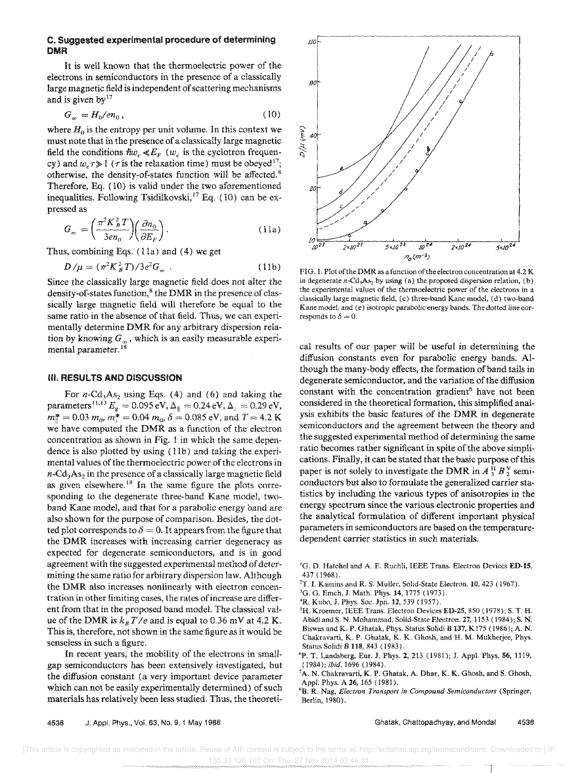### C. Suggested experimental procedure of determining DMR

It is well known that the thermoelectric power of the electrons in semiconductors in the presence of a classically large magnetic field is independent of scattering mechanisms and is given by  $17$ 

$$
G_{\infty} = H_0 / en_0, \tag{10}
$$

where  $H_0$  is the entropy per unit volume. In this context we must note that in the presence of a classically large magnetic field the conditions  $\hbar w_c \ll E_F$  (w<sub>c</sub> is the cyclotron frequency) and  $w_c \tau \gg 1$  ( $\tau$  is the relaxation time) must be obeyed<sup>17</sup>; otherwise, the density-of-states function will be affected.<sup>8</sup> Therefore, Eq. (10) is valid under the two aforementioned inequalities. Following Tsidilkovski,<sup>17</sup> Eq. (10) can be expressed as

$$
G_{\infty} = \left(\frac{\pi^2 K_B^2 T}{3 e n_0}\right) \left(\frac{\partial n_0}{\partial E_F}\right). \tag{11a}
$$

Thus, combining Eqs.  $(11a)$  and  $(4)$  we get

$$
D/\mu = (\pi^2 K_B^2 T)/3e^2 G_{\infty} \ . \tag{11b}
$$

Since the classically large magnetic field does not alter the density-of-states function,<sup>8</sup> the DMR in the presence of classically large magnetic field will therefore be equal to the same ratio in the absence of that field. Thus, we can experimentally determine DMR for any arbitrary dispersion relation by knowing  $G_{\infty}$ , which is an easily measurable experimental parameter.<sup>18</sup>

#### **III.** RESULTS AND DISCUSSION

For  $n\text{-}Cd_3As_2$  using Eqs. (4) and (6) and taking the parameters<sup>11,13</sup>  $E_{g} = 0.095 \text{ eV}, \Delta_{\parallel} = 0.24 \text{ eV}, \Delta_{\perp} = 0.29 \text{ eV},$  $m_{\parallel}^* = 0.03$   $m_0$ ,  $m_{\perp}^* = 0.04$   $m_0$ ,  $\delta = 0.085$  eV, and  $T = 4.2$  K we have computed the DMR as a function of the electron concentration as shown in Fig. 1 in which the same dependence is also plotted by using  $(11b)$  and taking the experimental values of the thermoelectric power of the electrons in  $n-\text{Cd}_3\text{As}_2$  in the presence of a classically large magnetic field as given elsewhere.<sup>18</sup> In the same figure the plots corresponding to the degenerate three-band Kane model, twoband Kane model, and that for a parabolic energy band are also shown for the purpose of comparison. Besides, the dotted plot corresponds to  $\delta = 0$ . It appears from the figure that the DMR increases with increasing carrier degeneracy as expected for degenerate semiconductors, and is in good agreement with the suggested experimental method of determining the same ratio for arbitrary dispersion law. Although the DMR also increases nonlinearly with electron concentration in other limiting cases, the rates of increase are different from that in the proposed band model. The classical value of the DMR is  $k_B T/e$  and is equal to 0.36 mV at 4.2 K. This is, therefore, not shown in the same figure as it would be senseless in such a figure.

In recent years, the mobility of the electrons in smallgap semiconductors has been extensively investigated, but the diffusion constant (a very important device parameter which can not be easily experimentally determined) of such materials has relatively been less studied. Thus, the theoreti-



FiG. I. Plot of the DMR as a function of the electron concentration at 4.2 K in degenerate  $n$ -Cd<sub>3</sub>As<sub>2</sub> by using (a) the proposed dispersion relation, (b) the experimental values of the thermoelectric power of the electrons in a classically large magnetic field, (c) three-band Kane model, (d) two-band Kane model. and (e) isotropic parabolic energy bands. The dotted line corresponds to  $\delta = 0$ .

cal results of our paper will be useful in determining the diffusion constants even for parabolic energy bands. Although the many-body effects, the formation of band tails in degenerate semiconductor, and the variation of the diffusion constant with the concentration gradient<sup>6</sup> have not been considered in the theoretical formation, this simplified analysis exhibits the basic features of the DMR in degenerate semiconductors and the agreement between the theory and the suggested experimental method of determining the same ratio becomes rather significant in spite of the above simplications. Finally, it can be stated that the basic purpose of this paper is not solely to investigate the DMR in  $A_3^H B_2^V$  semiconductors but also to formulate the generalized carrier statistics by including the various types of anisotropies in the energy spectrum since the various electronic properties and the analytical formulation of different important physical parameters in semiconductors are based on the temperaturedependent carrier statistics in such materials.

- <sup>1</sup>G. D. Hatchel and A. E. Ruchli, IEEE Trans. Electron Devices ED-15, 437 (1968).
- <sup>2</sup>T. I. Kamins and R. S. Muller, Solid-State Electron. 10, 423 (1967).
- <sup>3</sup>G. G. Emch, J. Math. Phys. 14, 1775 (1973).
- <sup>4</sup>R. Kubo, J. Phys. Soc. Jpn. 12, 539 (1957).
- 5H. Kroemer, IEEE Trans. Electron Devices ED-25, 850 (1978); S. T. H. Abidiand S. N. Mohammad, Solid-State Electron. 27,1153 (1984); S. N. Biswas and K. P. Ghatak, Phys. Status Solidi B 137, K175 (1986); A. N. Chakravarti, K. P. Ghatak, K. K. Ghosh, and H. M. Mukherjee, Phys. Status Solidi B 118, 843 (1983).
- <sup>6</sup>P. T. Landsberg, Eur. J. Phys. 2, 213 (1981); J. Appl. Phys. 56, 1119, *(1984); ibid.* 1696 (1984).
- <sup>7</sup>A. N. Chakravarti, K. P. Ghatak, A. Dhar, K. K. Ghosh, and S. Ghosh, Appl. Phys. A 26,165 (1981).
- "B. R. Nag, *Electron Transport in Compound Semiconductors* (Springer, Berlin, 1980).

4538 J. Appl. Phys., Vol. 63, No.9, 1 May 1988

Ghatak, Chattopadhyay, and Mandai 4538